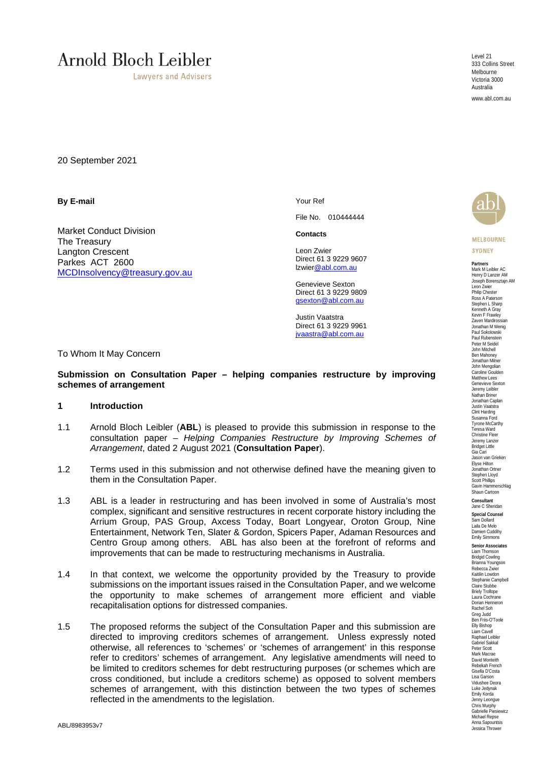# **Arnold Bloch Leibler**

**Lawyers and Advisers** 

Level 21 333 Collins Street **Melbourne** Victoria 3000 Australia

www.abl.com.au

20 September 2021

**By E-mail** 

Market Conduct Division The Treasury Langton Crescent Parkes ACT 2600 MCDInsolvency@treasury.gov.au Your Ref

File No. 010444444

**Contacts**

Leon Zwier Direct 61 3 9229 9607 lzwier@abl.com.au

Genevieve Sexton Direct 61 3 9229 9809 gsexton@abl.com.au

Justin Vaatstra Direct 61 3 9229 9961 jvaastra@abl.com.au

To Whom It May Concern

#### **Submission on Consultation Paper – helping companies restructure by improving schemes of arrangement**

#### **1 Introduction**

- 1.1 Arnold Bloch Leibler (**ABL**) is pleased to provide this submission in response to the consultation paper – *Helping Companies Restructure by Improving Schemes of Arrangement*, dated 2 August 2021 (**Consultation Paper**).
- 1.2 Terms used in this submission and not otherwise defined have the meaning given to them in the Consultation Paper.
- 1.3 ABL is a leader in restructuring and has been involved in some of Australia's most complex, significant and sensitive restructures in recent corporate history including the Arrium Group, PAS Group, Axcess Today, Boart Longyear, Oroton Group, Nine Entertainment, Network Ten, Slater & Gordon, Spicers Paper, Adaman Resources and Centro Group among others. ABL has also been at the forefront of reforms and improvements that can be made to restructuring mechanisms in Australia.
- 1.4 In that context, we welcome the opportunity provided by the Treasury to provide submissions on the important issues raised in the Consultation Paper, and we welcome the opportunity to make schemes of arrangement more efficient and viable recapitalisation options for distressed companies.
- 1.5 The proposed reforms the subject of the Consultation Paper and this submission are directed to improving creditors schemes of arrangement. Unless expressly noted otherwise, all references to 'schemes' or 'schemes of arrangement' in this response refer to creditors' schemes of arrangement. Any legislative amendments will need to be limited to creditors schemes for debt restructuring purposes (or schemes which are cross conditioned, but include a creditors scheme) as opposed to solvent members schemes of arrangement, with this distinction between the two types of schemes reflected in the amendments to the legislation.

**MELBOURNE SYDNEY** 

**Partners** Mark M Leibler AC Henry D Lanzer AM Joseph Borensztajn AM Leon Zwier Philip Cheste Ross A Paterson Stephen L Sharp<br>Kenneth A Gray Kevin F Frawley Zaven Mardirossian Jonathan M Wenig Paul Sokolowski Paul Rubenstein Peter M Seidel John Mitchell Ben Mahoney<br>Jonathan Milner John Mengolian Caroline Goulden Matthew Lees Genevieve Sexton Jeremy Leibler Nathan Briner Jonathan Caplan Justin Vaatstra Clint Harding Susanna Ford Tyrone McCarthy Teresa Ward Christine Fleer Jeremy Lanzer Bridget Little Gia Cari Jason van Grieken Elyse Hilton Jonathan Ortner Stephen Lloyd Scott Phillips Scounnerschlag Shaun Cartoon **Consultant**

Jane C Sheridan **Special Counsel** Sam Dollard Laila De Melo Damien Cuddihy Emily Simmons

**Senior Associates** Liam Thomson Bridgid Cowling<br>Brianna Youngson Rebecca Zwier Kaitilin Lowdon Stephanie Campbell Claire Stubbe Briely Trollope Laura Cochrane Dorian Henneron Rachel Soh Greg Judd Ben Friis-O'Toole Elly Bishop<br>Liam Cavell Raphael Leibler Gabriel Sakkal Peter Scott Mark Macrae David Monteith Rebekah French Gisella D'Costa Lisa Garson Vidushee Deora Luke Jedynak Emily Korda Jenny Leongue Chris Murphy Gabrielle Piesiewicz Michael Repse Anna Sapountsis Jessica Thrower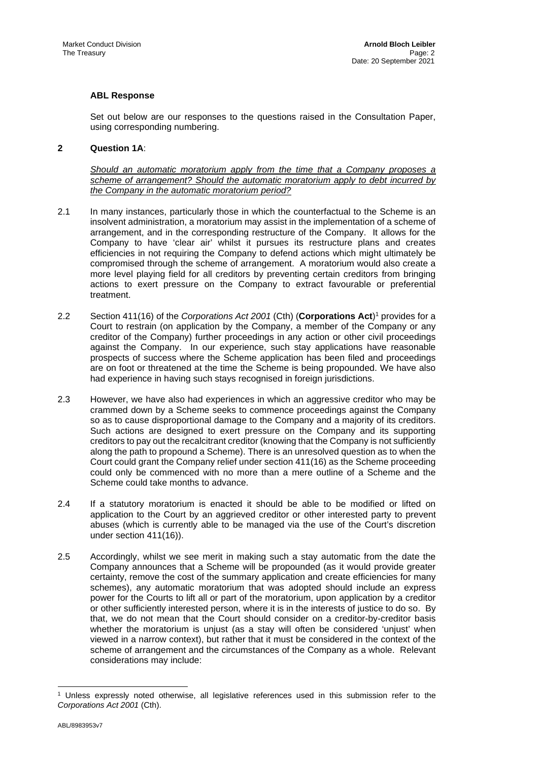# **ABL Response**

Set out below are our responses to the questions raised in the Consultation Paper, using corresponding numbering.

# **2 Question 1A**:

*Should an automatic moratorium apply from the time that a Company proposes a scheme of arrangement? Should the automatic moratorium apply to debt incurred by the Company in the automatic moratorium period?* 

- 2.1 In many instances, particularly those in which the counterfactual to the Scheme is an insolvent administration, a moratorium may assist in the implementation of a scheme of arrangement, and in the corresponding restructure of the Company. It allows for the Company to have 'clear air' whilst it pursues its restructure plans and creates efficiencies in not requiring the Company to defend actions which might ultimately be compromised through the scheme of arrangement. A moratorium would also create a more level playing field for all creditors by preventing certain creditors from bringing actions to exert pressure on the Company to extract favourable or preferential treatment.
- 2.2 Section 411(16) of the *Corporations Act 2001* (Cth) (**Corporations Act**)1 provides for a Court to restrain (on application by the Company, a member of the Company or any creditor of the Company) further proceedings in any action or other civil proceedings against the Company. In our experience, such stay applications have reasonable prospects of success where the Scheme application has been filed and proceedings are on foot or threatened at the time the Scheme is being propounded. We have also had experience in having such stays recognised in foreign jurisdictions.
- 2.3 However, we have also had experiences in which an aggressive creditor who may be crammed down by a Scheme seeks to commence proceedings against the Company so as to cause disproportional damage to the Company and a majority of its creditors. Such actions are designed to exert pressure on the Company and its supporting creditors to pay out the recalcitrant creditor (knowing that the Company is not sufficiently along the path to propound a Scheme). There is an unresolved question as to when the Court could grant the Company relief under section 411(16) as the Scheme proceeding could only be commenced with no more than a mere outline of a Scheme and the Scheme could take months to advance.
- 2.4 If a statutory moratorium is enacted it should be able to be modified or lifted on application to the Court by an aggrieved creditor or other interested party to prevent abuses (which is currently able to be managed via the use of the Court's discretion under section 411(16)).
- 2.5 Accordingly, whilst we see merit in making such a stay automatic from the date the Company announces that a Scheme will be propounded (as it would provide greater certainty, remove the cost of the summary application and create efficiencies for many schemes), any automatic moratorium that was adopted should include an express power for the Courts to lift all or part of the moratorium, upon application by a creditor or other sufficiently interested person, where it is in the interests of justice to do so. By that, we do not mean that the Court should consider on a creditor-by-creditor basis whether the moratorium is unjust (as a stay will often be considered 'unjust' when viewed in a narrow context), but rather that it must be considered in the context of the scheme of arrangement and the circumstances of the Company as a whole. Relevant considerations may include:

Unless expressly noted otherwise, all legislative references used in this submission refer to the *Corporations Act 2001* (Cth).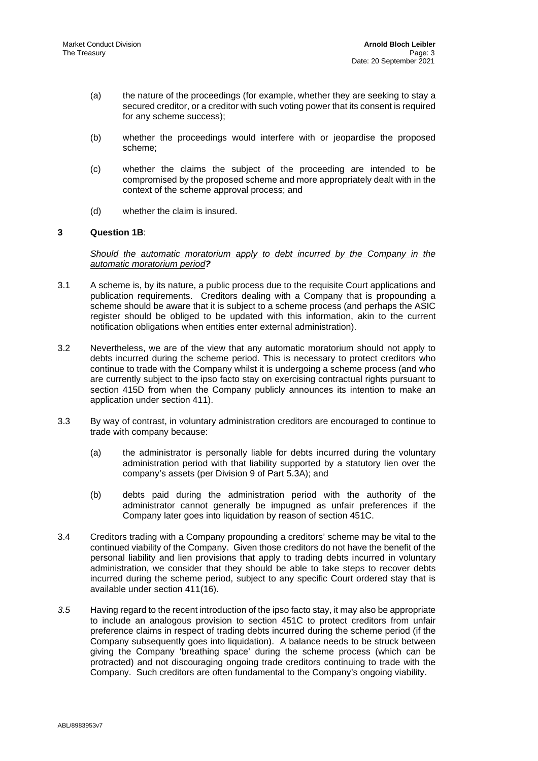- (a) the nature of the proceedings (for example, whether they are seeking to stay a secured creditor, or a creditor with such voting power that its consent is required for any scheme success);
- (b) whether the proceedings would interfere with or jeopardise the proposed scheme;
- (c) whether the claims the subject of the proceeding are intended to be compromised by the proposed scheme and more appropriately dealt with in the context of the scheme approval process; and
- (d) whether the claim is insured.

# **3 Question 1B**:

*Should the automatic moratorium apply to debt incurred by the Company in the automatic moratorium period?*

- 3.1 A scheme is, by its nature, a public process due to the requisite Court applications and publication requirements. Creditors dealing with a Company that is propounding a scheme should be aware that it is subject to a scheme process (and perhaps the ASIC register should be obliged to be updated with this information, akin to the current notification obligations when entities enter external administration).
- 3.2 Nevertheless, we are of the view that any automatic moratorium should not apply to debts incurred during the scheme period. This is necessary to protect creditors who continue to trade with the Company whilst it is undergoing a scheme process (and who are currently subject to the ipso facto stay on exercising contractual rights pursuant to section 415D from when the Company publicly announces its intention to make an application under section 411).
- 3.3 By way of contrast, in voluntary administration creditors are encouraged to continue to trade with company because:
	- (a) the administrator is personally liable for debts incurred during the voluntary administration period with that liability supported by a statutory lien over the company's assets (per Division 9 of Part 5.3A); and
	- (b) debts paid during the administration period with the authority of the administrator cannot generally be impugned as unfair preferences if the Company later goes into liquidation by reason of section 451C.
- 3.4 Creditors trading with a Company propounding a creditors' scheme may be vital to the continued viability of the Company. Given those creditors do not have the benefit of the personal liability and lien provisions that apply to trading debts incurred in voluntary administration, we consider that they should be able to take steps to recover debts incurred during the scheme period, subject to any specific Court ordered stay that is available under section 411(16).
- *3.5* Having regard to the recent introduction of the ipso facto stay, it may also be appropriate to include an analogous provision to section 451C to protect creditors from unfair preference claims in respect of trading debts incurred during the scheme period (if the Company subsequently goes into liquidation). A balance needs to be struck between giving the Company 'breathing space' during the scheme process (which can be protracted) and not discouraging ongoing trade creditors continuing to trade with the Company. Such creditors are often fundamental to the Company's ongoing viability.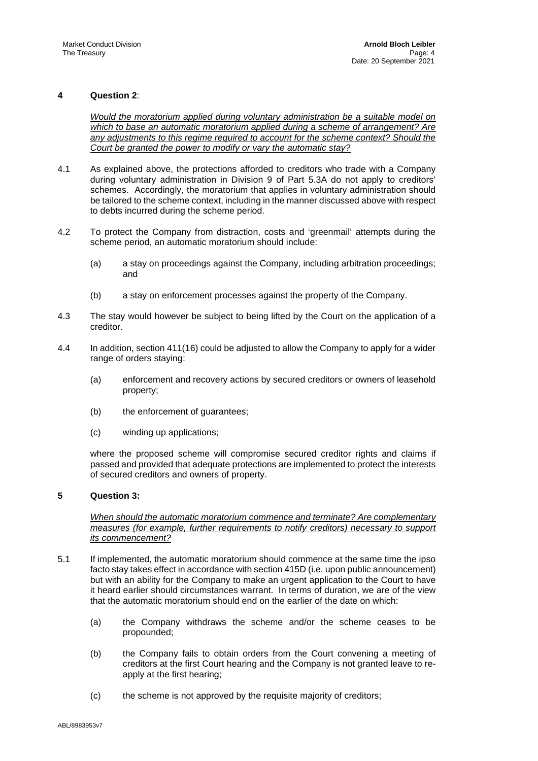# **4 Question 2**:

*Would the moratorium applied during voluntary administration be a suitable model on which to base an automatic moratorium applied during a scheme of arrangement? Are any adjustments to this regime required to account for the scheme context? Should the Court be granted the power to modify or vary the automatic stay?*

- 4.1 As explained above, the protections afforded to creditors who trade with a Company during voluntary administration in Division 9 of Part 5.3A do not apply to creditors' schemes. Accordingly, the moratorium that applies in voluntary administration should be tailored to the scheme context, including in the manner discussed above with respect to debts incurred during the scheme period.
- 4.2 To protect the Company from distraction, costs and 'greenmail' attempts during the scheme period, an automatic moratorium should include:
	- (a) a stay on proceedings against the Company, including arbitration proceedings; and
	- (b) a stay on enforcement processes against the property of the Company.
- 4.3 The stay would however be subject to being lifted by the Court on the application of a creditor.
- 4.4 In addition, section 411(16) could be adjusted to allow the Company to apply for a wider range of orders staying:
	- (a) enforcement and recovery actions by secured creditors or owners of leasehold property;
	- (b) the enforcement of guarantees;
	- (c) winding up applications;

where the proposed scheme will compromise secured creditor rights and claims if passed and provided that adequate protections are implemented to protect the interests of secured creditors and owners of property.

#### **5 Question 3:**

*When should the automatic moratorium commence and terminate? Are complementary measures (for example, further requirements to notify creditors) necessary to support its commencement?* 

- 5.1 If implemented, the automatic moratorium should commence at the same time the ipso facto stay takes effect in accordance with section 415D (i.e. upon public announcement) but with an ability for the Company to make an urgent application to the Court to have it heard earlier should circumstances warrant. In terms of duration, we are of the view that the automatic moratorium should end on the earlier of the date on which:
	- (a) the Company withdraws the scheme and/or the scheme ceases to be propounded;
	- (b) the Company fails to obtain orders from the Court convening a meeting of creditors at the first Court hearing and the Company is not granted leave to reapply at the first hearing;
	- (c) the scheme is not approved by the requisite majority of creditors;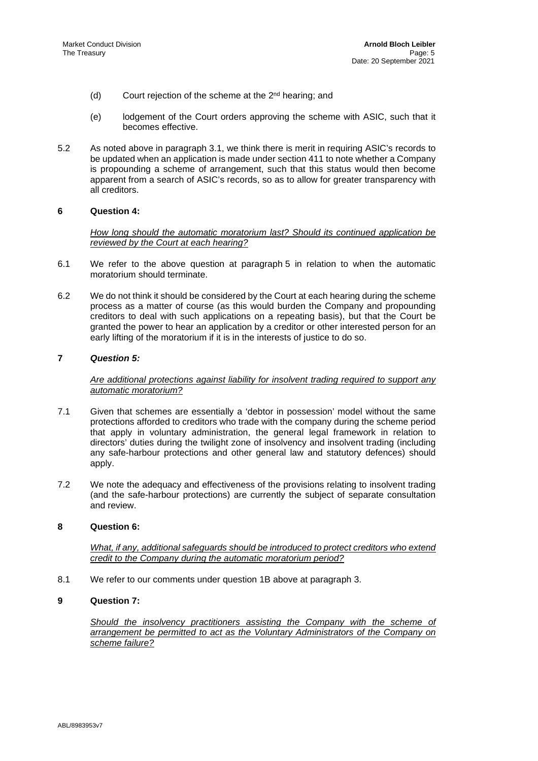- (d) Court rejection of the scheme at the  $2<sup>nd</sup>$  hearing; and
- (e) lodgement of the Court orders approving the scheme with ASIC, such that it becomes effective.
- 5.2 As noted above in paragraph 3.1, we think there is merit in requiring ASIC's records to be updated when an application is made under section 411 to note whether a Company is propounding a scheme of arrangement, such that this status would then become apparent from a search of ASIC's records, so as to allow for greater transparency with all creditors.

#### **6 Question 4:**

*How long should the automatic moratorium last? Should its continued application be reviewed by the Court at each hearing?* 

- 6.1 We refer to the above question at paragraph 5 in relation to when the automatic moratorium should terminate.
- 6.2 We do not think it should be considered by the Court at each hearing during the scheme process as a matter of course (as this would burden the Company and propounding creditors to deal with such applications on a repeating basis), but that the Court be granted the power to hear an application by a creditor or other interested person for an early lifting of the moratorium if it is in the interests of justice to do so.

# **7** *Question 5:*

# *Are additional protections against liability for insolvent trading required to support any automatic moratorium?*

- 7.1 Given that schemes are essentially a 'debtor in possession' model without the same protections afforded to creditors who trade with the company during the scheme period that apply in voluntary administration, the general legal framework in relation to directors' duties during the twilight zone of insolvency and insolvent trading (including any safe-harbour protections and other general law and statutory defences) should apply.
- 7.2 We note the adequacy and effectiveness of the provisions relating to insolvent trading (and the safe-harbour protections) are currently the subject of separate consultation and review.

#### **8 Question 6:**

*What, if any, additional safeguards should be introduced to protect creditors who extend credit to the Company during the automatic moratorium period?* 

8.1 We refer to our comments under question 1B above at paragraph 3.

#### **9 Question 7:**

*Should the insolvency practitioners assisting the Company with the scheme of arrangement be permitted to act as the Voluntary Administrators of the Company on scheme failure?*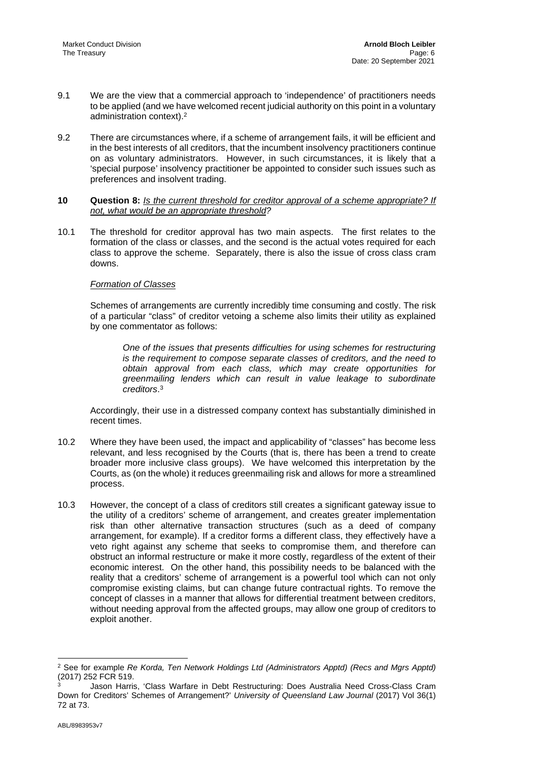- 9.1 We are the view that a commercial approach to 'independence' of practitioners needs to be applied (and we have welcomed recent judicial authority on this point in a voluntary administration context).2
- 9.2 There are circumstances where, if a scheme of arrangement fails, it will be efficient and in the best interests of all creditors, that the incumbent insolvency practitioners continue on as voluntary administrators. However, in such circumstances, it is likely that a 'special purpose' insolvency practitioner be appointed to consider such issues such as preferences and insolvent trading.

#### **10 Question 8:** *Is the current threshold for creditor approval of a scheme appropriate? If not, what would be an appropriate threshold?*

10.1 The threshold for creditor approval has two main aspects. The first relates to the formation of the class or classes, and the second is the actual votes required for each class to approve the scheme. Separately, there is also the issue of cross class cram downs.

# *Formation of Classes*

Schemes of arrangements are currently incredibly time consuming and costly. The risk of a particular "class" of creditor vetoing a scheme also limits their utility as explained by one commentator as follows:

*One of the issues that presents difficulties for using schemes for restructuring is the requirement to compose separate classes of creditors, and the need to obtain approval from each class, which may create opportunities for greenmailing lenders which can result in value leakage to subordinate creditors*. 3

Accordingly, their use in a distressed company context has substantially diminished in recent times.

- 10.2 Where they have been used, the impact and applicability of "classes" has become less relevant, and less recognised by the Courts (that is, there has been a trend to create broader more inclusive class groups). We have welcomed this interpretation by the Courts, as (on the whole) it reduces greenmailing risk and allows for more a streamlined process.
- 10.3 However, the concept of a class of creditors still creates a significant gateway issue to the utility of a creditors' scheme of arrangement, and creates greater implementation risk than other alternative transaction structures (such as a deed of company arrangement, for example). If a creditor forms a different class, they effectively have a veto right against any scheme that seeks to compromise them, and therefore can obstruct an informal restructure or make it more costly, regardless of the extent of their economic interest. On the other hand, this possibility needs to be balanced with the reality that a creditors' scheme of arrangement is a powerful tool which can not only compromise existing claims, but can change future contractual rights. To remove the concept of classes in a manner that allows for differential treatment between creditors, without needing approval from the affected groups, may allow one group of creditors to exploit another.

<sup>2</sup> See for example *Re Korda, Ten Network Holdings Ltd (Administrators Apptd) (Recs and Mgrs Apptd)*  (2017) 252 FCR 519.

<sup>3</sup> Jason Harris, 'Class Warfare in Debt Restructuring: Does Australia Need Cross-Class Cram Down for Creditors' Schemes of Arrangement?' *University of Queensland Law Journal* (2017) Vol 36(1) 72 at 73.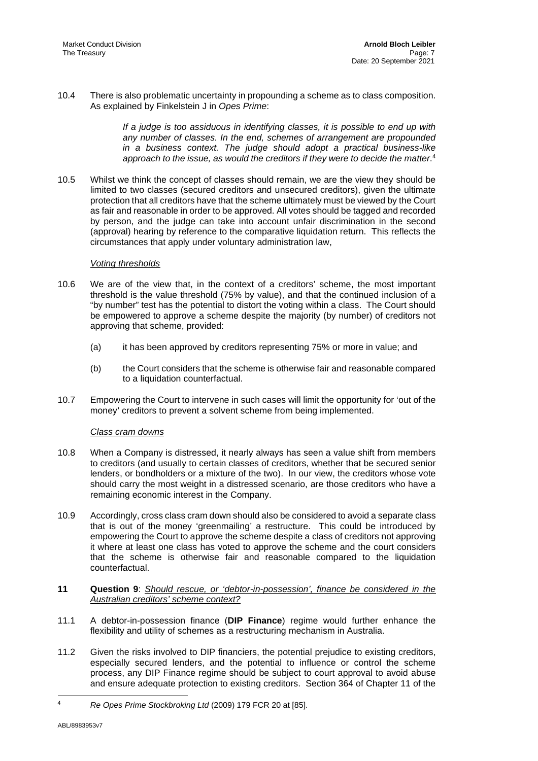10.4 There is also problematic uncertainty in propounding a scheme as to class composition. As explained by Finkelstein J in *Opes Prime*:

> *If a judge is too assiduous in identifying classes, it is possible to end up with any number of classes. In the end, schemes of arrangement are propounded in a business context. The judge should adopt a practical business-like*  approach to the issue, as would the creditors if they were to decide the matter.<sup>4</sup>

10.5 Whilst we think the concept of classes should remain, we are the view they should be limited to two classes (secured creditors and unsecured creditors), given the ultimate protection that all creditors have that the scheme ultimately must be viewed by the Court as fair and reasonable in order to be approved. All votes should be tagged and recorded by person, and the judge can take into account unfair discrimination in the second (approval) hearing by reference to the comparative liquidation return. This reflects the circumstances that apply under voluntary administration law,

# *Voting thresholds*

- 10.6 We are of the view that, in the context of a creditors' scheme, the most important threshold is the value threshold (75% by value), and that the continued inclusion of a "by number" test has the potential to distort the voting within a class. The Court should be empowered to approve a scheme despite the majority (by number) of creditors not approving that scheme, provided:
	- (a) it has been approved by creditors representing 75% or more in value; and
	- (b) the Court considers that the scheme is otherwise fair and reasonable compared to a liquidation counterfactual.
- 10.7 Empowering the Court to intervene in such cases will limit the opportunity for 'out of the money' creditors to prevent a solvent scheme from being implemented.

# *Class cram downs*

- 10.8 When a Company is distressed, it nearly always has seen a value shift from members to creditors (and usually to certain classes of creditors, whether that be secured senior lenders, or bondholders or a mixture of the two). In our view, the creditors whose vote should carry the most weight in a distressed scenario, are those creditors who have a remaining economic interest in the Company.
- 10.9 Accordingly, cross class cram down should also be considered to avoid a separate class that is out of the money 'greenmailing' a restructure. This could be introduced by empowering the Court to approve the scheme despite a class of creditors not approving it where at least one class has voted to approve the scheme and the court considers that the scheme is otherwise fair and reasonable compared to the liquidation counterfactual.
- **11 Question 9**: *Should rescue, or 'debtor-in-possession', finance be considered in the Australian creditors' scheme context?*
- 11.1 A debtor-in-possession finance (**DIP Finance**) regime would further enhance the flexibility and utility of schemes as a restructuring mechanism in Australia.
- 11.2 Given the risks involved to DIP financiers, the potential prejudice to existing creditors, especially secured lenders, and the potential to influence or control the scheme process, any DIP Finance regime should be subject to court approval to avoid abuse and ensure adequate protection to existing creditors. Section 364 of Chapter 11 of the

<sup>4</sup> *Re Opes Prime Stockbroking Ltd* (2009) 179 FCR 20 at [85].